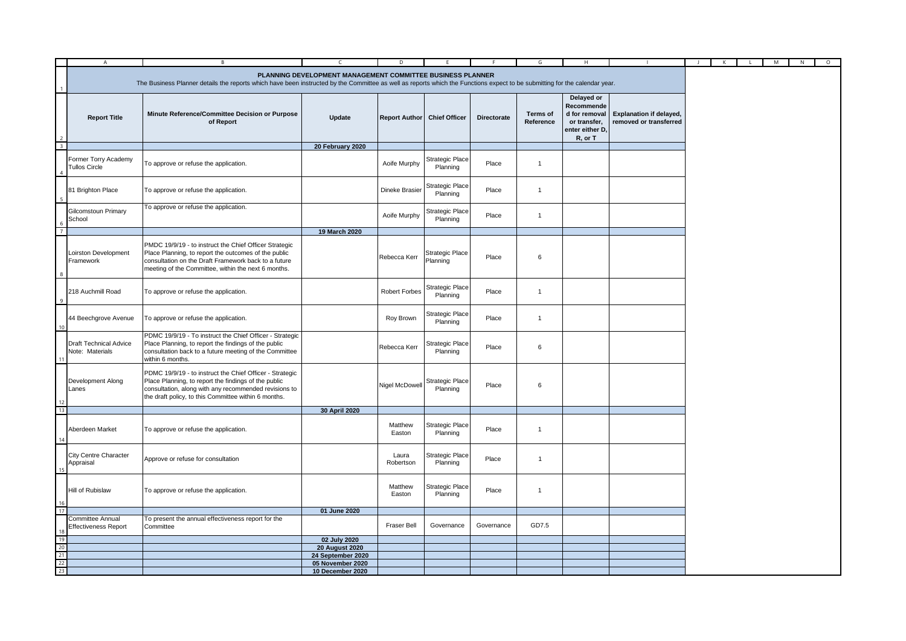|          | $\mathsf{A}$                                                                                                                                                                                                                             | $\, {\bf B} \,$                                                                                                                                                                                                                   | $\mathsf{C}$                               | D                    | F.                                 | E                  | G                            | H                                                                                       |                                                          | K | $\mathbf{L}$ | M | N | $\circ$ |
|----------|------------------------------------------------------------------------------------------------------------------------------------------------------------------------------------------------------------------------------------------|-----------------------------------------------------------------------------------------------------------------------------------------------------------------------------------------------------------------------------------|--------------------------------------------|----------------------|------------------------------------|--------------------|------------------------------|-----------------------------------------------------------------------------------------|----------------------------------------------------------|---|--------------|---|---|---------|
|          | PLANNING DEVELOPMENT MANAGEMENT COMMITTEE BUSINESS PLANNER<br>The Business Planner details the reports which have been instructed by the Committee as well as reports which the Functions expect to be submitting for the calendar year. |                                                                                                                                                                                                                                   |                                            |                      |                                    |                    |                              |                                                                                         |                                                          |   |              |   |   |         |
|          | <b>Report Title</b>                                                                                                                                                                                                                      | Minute Reference/Committee Decision or Purpose<br>of Report                                                                                                                                                                       | Update                                     | <b>Report Author</b> | <b>Chief Officer</b>               | <b>Directorate</b> | <b>Terms of</b><br>Reference | Delayed or<br>Recommende<br>d for removal<br>or transfer,<br>enter either D,<br>R, or T | <b>Explanation if delayed,</b><br>removed or transferred |   |              |   |   |         |
|          |                                                                                                                                                                                                                                          |                                                                                                                                                                                                                                   | 20 February 2020                           |                      |                                    |                    |                              |                                                                                         |                                                          |   |              |   |   |         |
|          | Former Torry Academy<br><b>Tullos Circle</b>                                                                                                                                                                                             | To approve or refuse the application.                                                                                                                                                                                             |                                            | Aoife Murphy         | <b>Strategic Place</b><br>Planning | Place              | $\mathbf{1}$                 |                                                                                         |                                                          |   |              |   |   |         |
|          | 81 Brighton Place                                                                                                                                                                                                                        | To approve or refuse the application.                                                                                                                                                                                             |                                            | Dineke Brasier       | <b>Strategic Place</b><br>Planning | Place              | $\mathbf{1}$                 |                                                                                         |                                                          |   |              |   |   |         |
|          | Gilcomstoun Primary<br>School                                                                                                                                                                                                            | To approve or refuse the application.                                                                                                                                                                                             |                                            | Aoife Murphy         | <b>Strategic Place</b><br>Planning | Place              | $\overline{1}$               |                                                                                         |                                                          |   |              |   |   |         |
|          |                                                                                                                                                                                                                                          |                                                                                                                                                                                                                                   | 19 March 2020                              |                      |                                    |                    |                              |                                                                                         |                                                          |   |              |   |   |         |
|          | Loirston Development<br>Framework                                                                                                                                                                                                        | PMDC 19/9/19 - to instruct the Chief Officer Strategic<br>Place Planning, to report the outcomes of the public<br>consultation on the Draft Framework back to a future<br>meeting of the Committee, within the next 6 months.     |                                            | Rebecca Kerr         | Strategic Place<br>Planning        | Place              | 6                            |                                                                                         |                                                          |   |              |   |   |         |
|          | 218 Auchmill Road                                                                                                                                                                                                                        | To approve or refuse the application.                                                                                                                                                                                             |                                            | Robert Forbes        | <b>Strategic Place</b><br>Planning | Place              | $\overline{1}$               |                                                                                         |                                                          |   |              |   |   |         |
|          | 44 Beechgrove Avenue                                                                                                                                                                                                                     | To approve or refuse the application.                                                                                                                                                                                             |                                            | Roy Brown            | Strategic Place<br>Planning        | Place              | $\overline{1}$               |                                                                                         |                                                          |   |              |   |   |         |
|          | <b>Draft Technical Advice</b><br>Note: Materials                                                                                                                                                                                         | PDMC 19/9/19 - To instruct the Chief Officer - Strategic<br>Place Planning, to report the findings of the public<br>consultation back to a future meeting of the Committee<br>within 6 months.                                    |                                            | Rebecca Kerr         | Strategic Place<br>Planning        | Place              | 6                            |                                                                                         |                                                          |   |              |   |   |         |
|          | Development Along<br>Lanes                                                                                                                                                                                                               | PDMC 19/9/19 - to instruct the Chief Officer - Strategic<br>Place Planning, to report the findings of the public<br>consultation, along with any recommended revisions to<br>the draft policy, to this Committee within 6 months. |                                            | Nigel McDowell       | <b>Strategic Place</b><br>Planning | Place              | 6                            |                                                                                         |                                                          |   |              |   |   |         |
| 13       |                                                                                                                                                                                                                                          |                                                                                                                                                                                                                                   | 30 April 2020                              |                      |                                    |                    |                              |                                                                                         |                                                          |   |              |   |   |         |
|          | Aberdeen Market                                                                                                                                                                                                                          | To approve or refuse the application.                                                                                                                                                                                             |                                            | Matthew<br>Easton    | <b>Strategic Place</b><br>Planning | Place              | $\overline{1}$               |                                                                                         |                                                          |   |              |   |   |         |
|          | <b>City Centre Character</b><br>Appraisal                                                                                                                                                                                                | Approve or refuse for consultation                                                                                                                                                                                                |                                            | Laura<br>Robertson   | Strategic Place<br>Planning        | Place              | $\overline{1}$               |                                                                                         |                                                          |   |              |   |   |         |
|          | Hill of Rubislaw                                                                                                                                                                                                                         | To approve or refuse the application.                                                                                                                                                                                             |                                            | Matthew<br>Easton    | <b>Strategic Place</b><br>Planning | Place              | $\overline{1}$               |                                                                                         |                                                          |   |              |   |   |         |
| 17       |                                                                                                                                                                                                                                          |                                                                                                                                                                                                                                   | 01 June 2020                               |                      |                                    |                    |                              |                                                                                         |                                                          |   |              |   |   |         |
|          | <b>Committee Annual</b><br><b>Effectiveness Report</b>                                                                                                                                                                                   | To present the annual effectiveness report for the<br>Committee                                                                                                                                                                   |                                            | Fraser Bell          | Governance                         | Governance         | GD7.5                        |                                                                                         |                                                          |   |              |   |   |         |
| 19       |                                                                                                                                                                                                                                          |                                                                                                                                                                                                                                   | 02 July 2020                               |                      |                                    |                    |                              |                                                                                         |                                                          |   |              |   |   |         |
| 20<br>21 |                                                                                                                                                                                                                                          |                                                                                                                                                                                                                                   | <b>20 August 2020</b><br>24 September 2020 |                      |                                    |                    |                              |                                                                                         |                                                          |   |              |   |   |         |
| 22       |                                                                                                                                                                                                                                          |                                                                                                                                                                                                                                   | 05 November 2020                           |                      |                                    |                    |                              |                                                                                         |                                                          |   |              |   |   |         |
| 23       |                                                                                                                                                                                                                                          |                                                                                                                                                                                                                                   | 10 December 2020                           |                      |                                    |                    |                              |                                                                                         |                                                          |   |              |   |   |         |